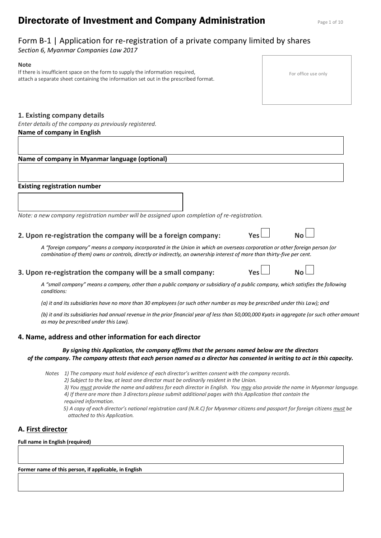# **Directorate of Investment and Company Administration** Page 1 of 10

For office use only

# Form B-1 | Application for re-registration of a private company limited by shares

*Section 6, Myanmar Companies Law 2017*

#### **Note**

If there is insufficient space on the form to supply the information required, attach a separate sheet containing the information set out in the prescribed format.

### **1. Existing company details**

*Enter details of the company as previously registered.*

### **Name of company in English**

#### **Name of company in Myanmar language (optional)**

#### **Existing registration number**

*Note: a new company registration number will be assigned upon completion of re-registration.*

### **2. Upon re-registration the company will be a foreign company: Yes No**

*A "foreign company" means a company incorporated in the Union in which an overseas corporation or other foreign person (or combination of them) owns or controls, directly or indirectly, an ownership interest of more than thirty-five per cent.*

### **3. Upon re-registration the company will be a small company: Yes**  $\Box$  **No**  $\Box$

*A "small company" means a company, other than a public company or subsidiary of a public company, which satisfies the following conditions:* 

*(a) it and its subsidiaries have no more than 30 employees (or such other number as may be prescribed under this Law); and*

*(b) it and its subsidiaries had annual revenue in the prior financial year of less than 50,000,000 Kyats in aggregate (or such other amount as may be prescribed under this Law).*

#### **4. Name, address and other information for each director**

#### *By signing this Application, the company affirms that the persons named below are the directors of the company. The company attests that each person named as a director has consented in writing to act in this capacity.*

*Notes 1) The company must hold evidence of each director's written consent with the company records.*

*2) Subject to the law, at least one director must be ordinarily resident in the Union.*

*3) You must provide the name and address for each director in English. You may also provide the name in Myanmar language. 4) If there are more than 3 directors please submit additional pages with this Application that contain the required information.*

*5) A copy of each director's national registration card (N.R.C) for Myanmar citizens and passport for foreign citizens must be attached to this Application.* 

### **A. First director**

### **Full name in English (required)**

**Former name of this person, if applicable, in English**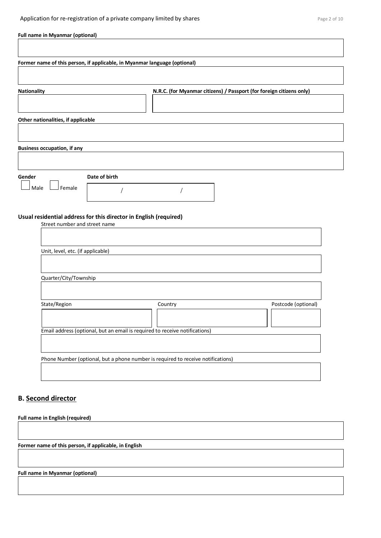| <b>Full name in Myanmar (optional)</b> |                                                                             |                                                                                  |                     |
|----------------------------------------|-----------------------------------------------------------------------------|----------------------------------------------------------------------------------|---------------------|
|                                        |                                                                             |                                                                                  |                     |
|                                        | Former name of this person, if applicable, in Myanmar language (optional)   |                                                                                  |                     |
| <b>Nationality</b>                     |                                                                             | N.R.C. (for Myanmar citizens) / Passport (for foreign citizens only)             |                     |
| Other nationalities, if applicable     |                                                                             |                                                                                  |                     |
|                                        |                                                                             |                                                                                  |                     |
| <b>Business occupation, if any</b>     |                                                                             |                                                                                  |                     |
| Gender<br>Female<br>Male               | Date of birth                                                               |                                                                                  |                     |
|                                        | Usual residential address for this director in English (required)           |                                                                                  |                     |
| Street number and street name          |                                                                             |                                                                                  |                     |
|                                        |                                                                             |                                                                                  |                     |
| Unit, level, etc. (if applicable)      |                                                                             |                                                                                  |                     |
| Quarter/City/Township                  |                                                                             |                                                                                  |                     |
|                                        |                                                                             |                                                                                  |                     |
| State/Region                           |                                                                             | Country                                                                          | Postcode (optional) |
|                                        |                                                                             |                                                                                  |                     |
|                                        | Email address (optional, but an email is required to receive notifications) |                                                                                  |                     |
|                                        |                                                                             |                                                                                  |                     |
|                                        |                                                                             | Phone Number (optional, but a phone number is required to receive notifications) |                     |
|                                        |                                                                             |                                                                                  |                     |
| <b>B.</b> Second director              |                                                                             |                                                                                  |                     |
| Full name in English (required)        |                                                                             |                                                                                  |                     |
|                                        |                                                                             |                                                                                  |                     |
|                                        | Former name of this person, if applicable, in English                       |                                                                                  |                     |

**Full name in Myanmar (optional)**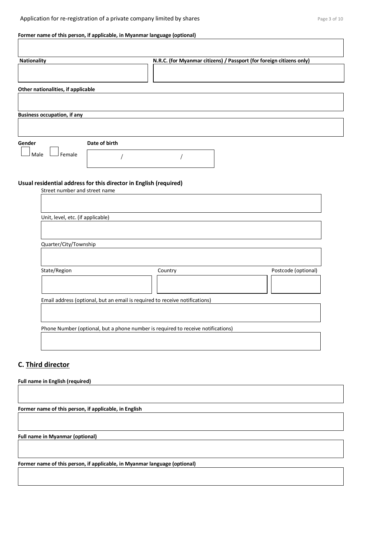### **Former name of this person, if applicable, in Myanmar language (optional)**

| <b>Nationality</b>                 |                                                                   |                                                                                  | N.R.C. (for Myanmar citizens) / Passport (for foreign citizens only) |
|------------------------------------|-------------------------------------------------------------------|----------------------------------------------------------------------------------|----------------------------------------------------------------------|
|                                    |                                                                   |                                                                                  |                                                                      |
| Other nationalities, if applicable |                                                                   |                                                                                  |                                                                      |
|                                    |                                                                   |                                                                                  |                                                                      |
|                                    |                                                                   |                                                                                  |                                                                      |
| <b>Business occupation, if any</b> |                                                                   |                                                                                  |                                                                      |
|                                    |                                                                   |                                                                                  |                                                                      |
| Gender                             | Date of birth                                                     |                                                                                  |                                                                      |
| Female<br>Male                     |                                                                   |                                                                                  |                                                                      |
|                                    |                                                                   |                                                                                  |                                                                      |
|                                    |                                                                   |                                                                                  |                                                                      |
|                                    | Usual residential address for this director in English (required) |                                                                                  |                                                                      |
| Street number and street name      |                                                                   |                                                                                  |                                                                      |
|                                    |                                                                   |                                                                                  |                                                                      |
| Unit, level, etc. (if applicable)  |                                                                   |                                                                                  |                                                                      |
|                                    |                                                                   |                                                                                  |                                                                      |
|                                    |                                                                   |                                                                                  |                                                                      |
| Quarter/City/Township              |                                                                   |                                                                                  |                                                                      |
|                                    |                                                                   |                                                                                  |                                                                      |
| State/Region                       |                                                                   | Country                                                                          | Postcode (optional)                                                  |
|                                    |                                                                   |                                                                                  |                                                                      |
|                                    |                                                                   |                                                                                  |                                                                      |
|                                    |                                                                   | Email address (optional, but an email is required to receive notifications)      |                                                                      |
|                                    |                                                                   |                                                                                  |                                                                      |
|                                    |                                                                   | Phone Number (optional, but a phone number is required to receive notifications) |                                                                      |
|                                    |                                                                   |                                                                                  |                                                                      |
|                                    |                                                                   |                                                                                  |                                                                      |
|                                    |                                                                   |                                                                                  |                                                                      |

### **C. Third director**

 **Full name in English (required)**

**Former name of this person, if applicable, in English**

**Full name in Myanmar (optional)**

**Former name of this person, if applicable, in Myanmar language (optional)**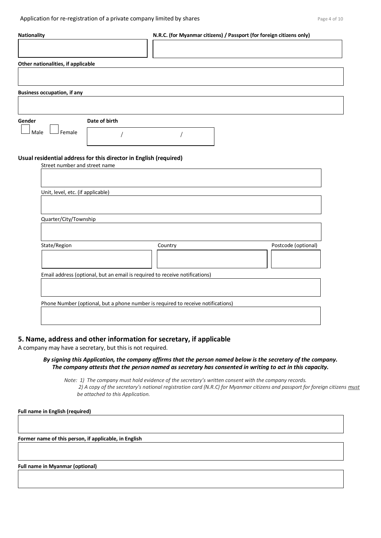| <b>Nationality</b>                                                |               | N.R.C. (for Myanmar citizens) / Passport (for foreign citizens only)             |                     |  |
|-------------------------------------------------------------------|---------------|----------------------------------------------------------------------------------|---------------------|--|
|                                                                   |               |                                                                                  |                     |  |
| Other nationalities, if applicable                                |               |                                                                                  |                     |  |
|                                                                   |               |                                                                                  |                     |  |
|                                                                   |               |                                                                                  |                     |  |
| <b>Business occupation, if any</b>                                |               |                                                                                  |                     |  |
|                                                                   |               |                                                                                  |                     |  |
| Gender                                                            | Date of birth |                                                                                  |                     |  |
| Female<br>Male                                                    |               |                                                                                  |                     |  |
|                                                                   |               |                                                                                  |                     |  |
| Usual residential address for this director in English (required) |               |                                                                                  |                     |  |
| Street number and street name                                     |               |                                                                                  |                     |  |
|                                                                   |               |                                                                                  |                     |  |
| Unit, level, etc. (if applicable)                                 |               |                                                                                  |                     |  |
|                                                                   |               |                                                                                  |                     |  |
|                                                                   |               |                                                                                  |                     |  |
| Quarter/City/Township                                             |               |                                                                                  |                     |  |
|                                                                   |               |                                                                                  |                     |  |
| State/Region                                                      |               | Country                                                                          | Postcode (optional) |  |
|                                                                   |               |                                                                                  |                     |  |
|                                                                   |               |                                                                                  |                     |  |
|                                                                   |               | Email address (optional, but an email is required to receive notifications)      |                     |  |
|                                                                   |               |                                                                                  |                     |  |
|                                                                   |               |                                                                                  |                     |  |
|                                                                   |               | Phone Number (optional, but a phone number is required to receive notifications) |                     |  |
|                                                                   |               |                                                                                  |                     |  |

### **5. Name, address and other information for secretary, if applicable**

A company may have a secretary, but this is not required.

#### *By signing this Application, the company affirms that the person named below is the secretary of the company. The company attests that the person named as secretary has consented in writing to act in this capacity.*

*Note: 1) The company must hold evidence of the secretary's written consent with the company records. 2) A copy of the secretary's national registration card (N.R.C) for Myanmar citizens and passport for foreign citizens must be attached to this Application.* 

**Full name in English (required)**

**Former name of this person, if applicable, in English**

**Full name in Myanmar (optional)**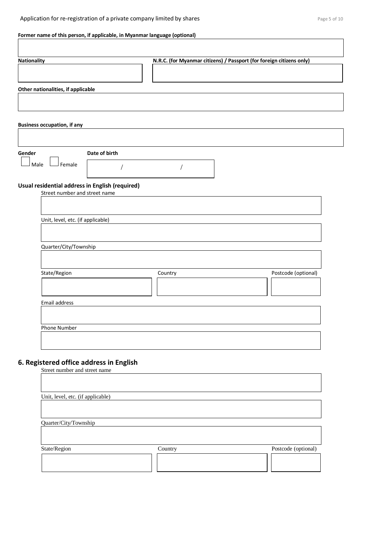# **Former name of this person, if applicable, in Myanmar language (optional)**

| <b>Nationality</b> |                                    |                                                 | N.R.C. (for Myanmar citizens) / Passport (for foreign citizens only) |                     |
|--------------------|------------------------------------|-------------------------------------------------|----------------------------------------------------------------------|---------------------|
|                    |                                    |                                                 |                                                                      |                     |
|                    | Other nationalities, if applicable |                                                 |                                                                      |                     |
|                    |                                    |                                                 |                                                                      |                     |
|                    |                                    |                                                 |                                                                      |                     |
|                    | <b>Business occupation, if any</b> |                                                 |                                                                      |                     |
|                    |                                    |                                                 |                                                                      |                     |
|                    |                                    | Date of birth                                   |                                                                      |                     |
| Gender             |                                    |                                                 |                                                                      |                     |
| Male               | Female                             |                                                 |                                                                      |                     |
|                    |                                    | Usual residential address in English (required) |                                                                      |                     |
|                    | Street number and street name      |                                                 |                                                                      |                     |
|                    |                                    |                                                 |                                                                      |                     |
|                    |                                    |                                                 |                                                                      |                     |
|                    | Unit, level, etc. (if applicable)  |                                                 |                                                                      |                     |
|                    |                                    |                                                 |                                                                      |                     |
|                    | Quarter/City/Township              |                                                 |                                                                      |                     |
|                    |                                    |                                                 |                                                                      |                     |
|                    | State/Region                       |                                                 | Country                                                              | Postcode (optional) |
|                    |                                    |                                                 |                                                                      |                     |
|                    |                                    |                                                 |                                                                      |                     |
|                    | Email address                      |                                                 |                                                                      |                     |
|                    |                                    |                                                 |                                                                      |                     |
|                    | Phone Number                       |                                                 |                                                                      |                     |
|                    |                                    |                                                 |                                                                      |                     |
|                    |                                    |                                                 |                                                                      |                     |
|                    |                                    | 6. Registered office address in English         |                                                                      |                     |
|                    | Street number and street name      |                                                 |                                                                      |                     |
|                    |                                    |                                                 |                                                                      |                     |
|                    |                                    |                                                 |                                                                      |                     |
|                    | Unit, level, etc. (if applicable)  |                                                 |                                                                      |                     |

Quarter/City/Township

State/Region Country Postcode (optional)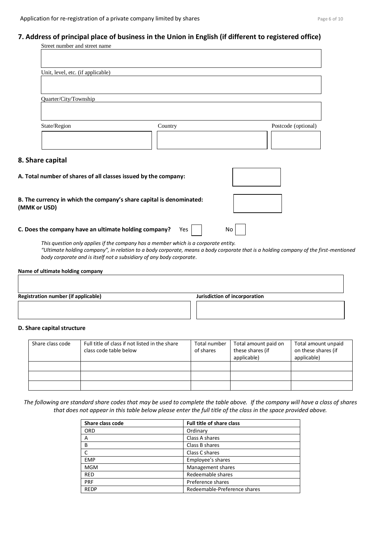### **7. Address of principal place of business in the Union in English (if different to registered office)**

| Street number and street name     |         |                     |
|-----------------------------------|---------|---------------------|
|                                   |         |                     |
|                                   |         |                     |
|                                   |         |                     |
| Unit, level, etc. (if applicable) |         |                     |
|                                   |         |                     |
|                                   |         |                     |
|                                   |         |                     |
| Quarter/City/Township             |         |                     |
|                                   |         |                     |
|                                   |         |                     |
|                                   |         |                     |
| State/Region                      | Country | Postcode (optional) |
|                                   |         |                     |
|                                   |         |                     |
|                                   |         |                     |
|                                   |         |                     |

### **8. Share capital**

| A. Total number of shares of all classes issued by the company:                                                                                                                                                            |     |    |  |
|----------------------------------------------------------------------------------------------------------------------------------------------------------------------------------------------------------------------------|-----|----|--|
| B. The currency in which the company's share capital is denominated:<br>(MMK or USD)                                                                                                                                       |     |    |  |
| C. Does the company have an ultimate holding company?                                                                                                                                                                      | Yes | No |  |
| This question only applies if the company has a member which is a corporate entity.<br>"Ultimate holdina company", in relation to a body corporate, means a body corporate that is a holdina company of the first-mentione |     |    |  |

*"Ultimate holding company", in relation to a body corporate, means a body corporate that is a holding company of the first-mentioned body corporate and is itself not a subsidiary of any body corporate.*

#### **Name of ultimate holding company**

**Registration number (if applicable)** Jurisdiction of incorporation

#### **D. Share capital structure**

| Share class code | Full title of class if not listed in the share<br>class code table below | Total number<br>of shares | Total amount paid on<br>these shares (if<br>applicable) | Total amount unpaid<br>on these shares (if<br>applicable) |
|------------------|--------------------------------------------------------------------------|---------------------------|---------------------------------------------------------|-----------------------------------------------------------|
|                  |                                                                          |                           |                                                         |                                                           |
|                  |                                                                          |                           |                                                         |                                                           |
|                  |                                                                          |                           |                                                         |                                                           |

*The following are standard share codes that may be used to complete the table above. If the company will have a class of shares that does not appear in this table below please enter the full title of the class in the space provided above.*

| Share class code | <b>Full title of share class</b> |
|------------------|----------------------------------|
| ORD              | Ordinary                         |
| Α                | Class A shares                   |
| B                | Class B shares                   |
|                  | Class C shares                   |
| <b>EMP</b>       | Employee's shares                |
| <b>MGM</b>       | Management shares                |
| <b>RED</b>       | Redeemable shares                |
| <b>PRF</b>       | Preference shares                |
| <b>REDP</b>      | Redeemable-Preference shares     |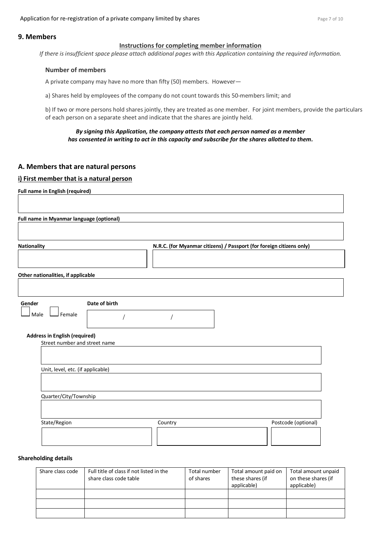Application for re-registration of a private company limited by shares  $P_{\text{age 7 of 10}}$ 

#### **9. Members**

### **Instructions for completing member information**

*If there is insufficient space please attach additional pages with this Application containing the required information.*

#### **Number of members**

A private company may have no more than fifty (50) members. However—

a) Shares held by employees of the company do not count towards this 50-members limit; and

b) If two or more persons hold shares jointly, they are treated as one member. For joint members, provide the particulars of each person on a separate sheet and indicate that the shares are jointly held.

### *By signing this Application, the company attests that each person named as a member has consented in writing to act in this capacity and subscribe for the shares allotted to them.*

### **A. Members that are natural persons**

### **i) First member that is a natural person**

**Full name in English (required)**

| <b>Nationality</b>                   | N.R.C. (for Myanmar citizens) / Passport (for foreign citizens only) |                     |
|--------------------------------------|----------------------------------------------------------------------|---------------------|
| Other nationalities, if applicable   |                                                                      |                     |
| Gender<br>Date of birth              |                                                                      |                     |
| Male<br>Female                       |                                                                      |                     |
| <b>Address in English (required)</b> |                                                                      |                     |
| Street number and street name        |                                                                      |                     |
|                                      |                                                                      |                     |
| Unit, level, etc. (if applicable)    |                                                                      |                     |
|                                      |                                                                      |                     |
| Quarter/City/Township                |                                                                      |                     |
|                                      |                                                                      |                     |
| State/Region                         | Country                                                              | Postcode (optional) |
|                                      |                                                                      |                     |

### **Shareholding details**

| Share class code | Full title of class if not listed in the<br>share class code table | Total number<br>of shares | Total amount paid on<br>these shares (if<br>applicable) | Total amount unpaid<br>on these shares (if<br>applicable) |
|------------------|--------------------------------------------------------------------|---------------------------|---------------------------------------------------------|-----------------------------------------------------------|
|                  |                                                                    |                           |                                                         |                                                           |
|                  |                                                                    |                           |                                                         |                                                           |
|                  |                                                                    |                           |                                                         |                                                           |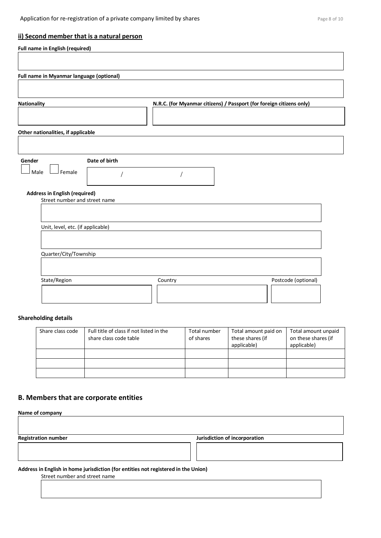### **ii) Second member that is a natural person**

| <b>Nationality</b>                                                    |               | N.R.C. (for Myanmar citizens) / Passport (for foreign citizens only) |  |
|-----------------------------------------------------------------------|---------------|----------------------------------------------------------------------|--|
| Other nationalities, if applicable                                    |               |                                                                      |  |
|                                                                       |               |                                                                      |  |
| Gender<br>Male<br>J Female                                            | Date of birth |                                                                      |  |
| <b>Address in English (required)</b><br>Street number and street name |               |                                                                      |  |
|                                                                       |               |                                                                      |  |
|                                                                       |               |                                                                      |  |
| Unit, level, etc. (if applicable)                                     |               |                                                                      |  |
| Quarter/City/Township                                                 |               |                                                                      |  |

### **Shareholding details**

| Share class code | Full title of class if not listed in the<br>share class code table | Total number<br>of shares | Total amount paid on<br>these shares (if<br>applicable) | Total amount unpaid<br>on these shares (if<br>applicable) |
|------------------|--------------------------------------------------------------------|---------------------------|---------------------------------------------------------|-----------------------------------------------------------|
|                  |                                                                    |                           |                                                         |                                                           |
|                  |                                                                    |                           |                                                         |                                                           |
|                  |                                                                    |                           |                                                         |                                                           |

### **B. Members that are corporate entities**

### **Name of company**

**Registration number** Jurisdiction of incorporation

**Address in English in home jurisdiction (for entities not registered in the Union)**

Street number and street name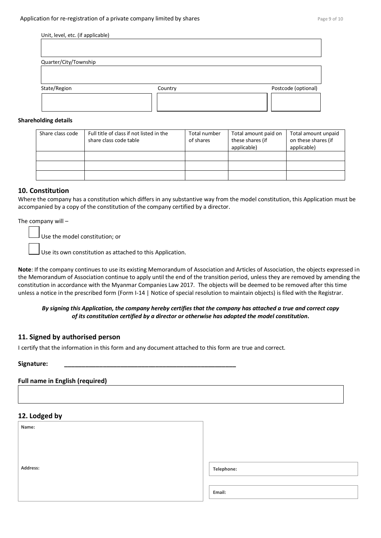| Unit, level, etc. (if applicable) |         |                     |
|-----------------------------------|---------|---------------------|
|                                   |         |                     |
|                                   |         |                     |
| Quarter/City/Township             |         |                     |
|                                   |         |                     |
|                                   |         |                     |
| State/Region                      | Country | Postcode (optional) |
|                                   |         |                     |
|                                   |         |                     |

#### **Shareholding details**

| Share class code | Full title of class if not listed in the<br>share class code table | Total number<br>of shares | Total amount paid on<br>these shares (if<br>applicable) | Total amount unpaid<br>on these shares (if<br>applicable) |
|------------------|--------------------------------------------------------------------|---------------------------|---------------------------------------------------------|-----------------------------------------------------------|
|                  |                                                                    |                           |                                                         |                                                           |
|                  |                                                                    |                           |                                                         |                                                           |
|                  |                                                                    |                           |                                                         |                                                           |

### **10. Constitution**

Where the company has a constitution which differs in any substantive way from the model constitution, this Application must be accompanied by a copy of the constitution of the company certified by a director.

The company will –

Use the model constitution; or

Use its own constitution as attached to this Application.

**Note**: If the company continues to use its existing Memorandum of Association and Articles of Association, the objects expressed in the Memorandum of Association continue to apply until the end of the transition period, unless they are removed by amending the constitution in accordance with the Myanmar Companies Law 2017. The objects will be deemed to be removed after this time unless a notice in the prescribed form (Form I-14 | Notice of special resolution to maintain objects) is filed with the Registrar.

#### *By signing this Application, the company hereby certifies that the company has attached a true and correct copy of its constitution certified by a director or otherwise has adopted the model constitution***.**

### **11. Signed by authorised person**

I certify that the information in this form and any document attached to this form are true and correct.

| Signature: |  |
|------------|--|
|            |  |

#### **Full name in English (required)**

| 12. Lodged by |  |
|---------------|--|
|---------------|--|

| Name:    |            |
|----------|------------|
|          |            |
|          |            |
| Address: | Telephone: |
|          |            |
|          | Email:     |